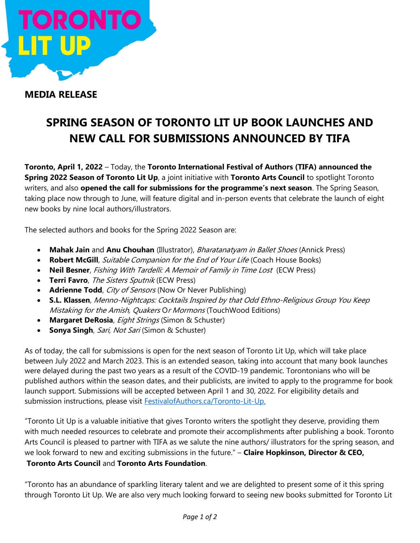

## MEDIA RELEASE

# SPRING SEASON OF TORONTO LIT UP BOOK LAUNCHES AND NEW CALL FOR SUBMISSIONS ANNOUNCED BY TIFA

Toronto, April 1, 2022 – Today, the Toronto International Festival of Authors (TIFA) announced the Spring 2022 Season of Toronto Lit Up, a joint initiative with Toronto Arts Council to spotlight Toronto writers, and also opened the call for submissions for the programme's next season. The Spring Season, taking place now through to June, will feature digital and in-person events that celebrate the launch of eight new books by nine local authors/illustrators.

The selected authors and books for the Spring 2022 Season are:

- Mahak Jain and Anu Chouhan (Illustrator), *Bharatanatyam in Ballet Shoes* (Annick Press)
- Robert McGill, Suitable Companion for the End of Your Life (Coach House Books)
- Neil Besner, Fishing With Tardelli: A Memoir of Family in Time Lost (ECW Press)
- Terri Favro, The Sisters Sputnik (ECW Press)
- Adrienne Todd, City of Sensors (Now Or Never Publishing)
- S.L. Klassen, Menno-Nightcaps: Cocktails Inspired by that Odd Ethno-Religious Group You Keep Mistaking for the Amish, Quakers Or Mormons (TouchWood Editions)
- Margaret DeRosia, Eight Strings (Simon & Schuster)
- Sonya Singh, Sari, Not Sari (Simon & Schuster)

As of today, the call for submissions is open for the next season of Toronto Lit Up, which will take place between July 2022 and March 2023. This is an extended season, taking into account that many book launches were delayed during the past two years as a result of the COVID-19 pandemic. Torontonians who will be published authors within the season dates, and their publicists, are invited to apply to the programme for book launch support. Submissions will be accepted between April 1 and 30, 2022. For eligibility details and submission instructions, please visit FestivalofAuthors.ca/Toronto-Lit-Up.

"Toronto Lit Up is a valuable initiative that gives Toronto writers the spotlight they deserve, providing them with much needed resources to celebrate and promote their accomplishments after publishing a book. Toronto Arts Council is pleased to partner with TIFA as we salute the nine authors/ illustrators for the spring season, and we look forward to new and exciting submissions in the future." - Claire Hopkinson, Director & CEO, Toronto Arts Council and Toronto Arts Foundation.

"Toronto has an abundance of sparkling literary talent and we are delighted to present some of it this spring through Toronto Lit Up. We are also very much looking forward to seeing new books submitted for Toronto Lit